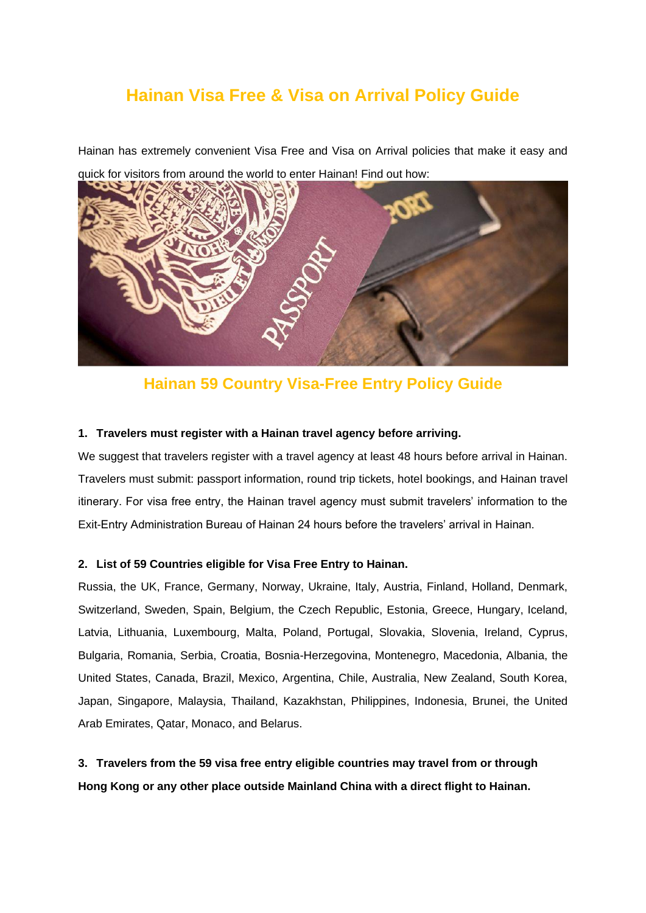# **Hainan Visa Free & Visa on Arrival Policy Guide**

Hainan has extremely convenient Visa Free and Visa on Arrival policies that make it easy and



quick for visitors from around the world to enter Hainan! Find out how:

## **Hainan 59 Country Visa-Free Entry Policy Guide**

#### **1. Travelers must register with a Hainan travel agency before arriving.**

We suggest that travelers register with a travel agency at least 48 hours before arrival in Hainan. Travelers must submit: passport information, round trip tickets, hotel bookings, and Hainan travel itinerary. For visa free entry, the Hainan travel agency must submit travelers' information to the Exit-Entry Administration Bureau of Hainan 24 hours before the travelers' arrival in Hainan.

#### **2. List of 59 Countries eligible for Visa Free Entry to Hainan.**

Russia, the UK, France, Germany, Norway, Ukraine, Italy, Austria, Finland, Holland, Denmark, Switzerland, Sweden, Spain, Belgium, the Czech Republic, Estonia, Greece, Hungary, Iceland, Latvia, Lithuania, Luxembourg, Malta, Poland, Portugal, Slovakia, Slovenia, Ireland, Cyprus, Bulgaria, Romania, Serbia, Croatia, Bosnia-Herzegovina, Montenegro, Macedonia, Albania, the United States, Canada, Brazil, Mexico, Argentina, Chile, Australia, New Zealand, South Korea, Japan, Singapore, Malaysia, Thailand, Kazakhstan, Philippines, Indonesia, Brunei, the United Arab Emirates, Qatar, Monaco, and Belarus.

**3. Travelers from the 59 visa free entry eligible countries may travel from or through Hong Kong or any other place outside Mainland China with a direct flight to Hainan.**